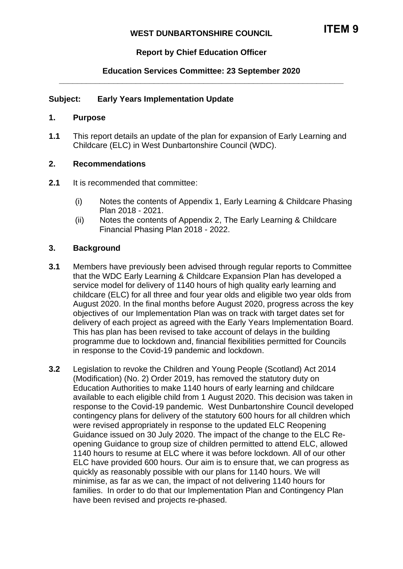# **Report by Chief Education Officer**

### **Education Services Committee: 23 September 2020 \_\_\_\_\_\_\_\_\_\_\_\_\_\_\_\_\_\_\_\_\_\_\_\_\_\_\_\_\_\_\_\_\_\_\_\_\_\_\_\_\_\_\_\_\_\_\_\_\_\_\_\_\_\_\_\_\_\_\_\_\_\_\_**

### **Subject: Early Years Implementation Update**

#### **1. Purpose**

**1.1** This report details an update of the plan for expansion of Early Learning and Childcare (ELC) in West Dunbartonshire Council (WDC).

#### **2. Recommendations**

- **2.1** It is recommended that committee:
	- (i) Notes the contents of Appendix 1, Early Learning & Childcare Phasing Plan 2018 - 2021.
	- (ii) Notes the contents of Appendix 2, The Early Learning & Childcare Financial Phasing Plan 2018 - 2022.

### **3. Background**

- **3.1** Members have previously been advised through regular reports to Committee that the WDC Early Learning & Childcare Expansion Plan has developed a service model for delivery of 1140 hours of high quality early learning and childcare (ELC) for all three and four year olds and eligible two year olds from August 2020. In the final months before August 2020, progress across the key objectives of our Implementation Plan was on track with target dates set for delivery of each project as agreed with the Early Years Implementation Board. This has plan has been revised to take account of delays in the building programme due to lockdown and, financial flexibilities permitted for Councils in response to the Covid-19 pandemic and lockdown.
- **3.2** Legislation to revoke the Children and Young People (Scotland) Act 2014 (Modification) (No. 2) Order 2019, has removed the statutory duty on Education Authorities to make 1140 hours of early learning and childcare available to each eligible child from 1 August 2020. This decision was taken in response to the Covid-19 pandemic. West Dunbartonshire Council developed contingency plans for delivery of the statutory 600 hours for all children which were revised appropriately in response to the updated ELC Reopening Guidance issued on 30 July 2020. The impact of the change to the ELC Reopening Guidance to group size of children permitted to attend ELC, allowed 1140 hours to resume at ELC where it was before lockdown. All of our other ELC have provided 600 hours. Our aim is to ensure that, we can progress as quickly as reasonably possible with our plans for 1140 hours. We will minimise, as far as we can, the impact of not delivering 1140 hours for families. In order to do that our Implementation Plan and Contingency Plan have been revised and projects re-phased.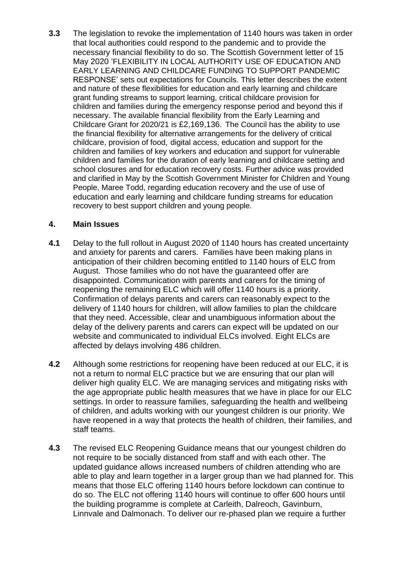**3.3** The legislation to revoke the implementation of 1140 hours was taken in order that local authorities could respond to the pandemic and to provide the necessary financial flexibility to do so. The Scottish Government letter of 15 May 2020 'FLEXIBILITY IN LOCAL AUTHORITY USE OF EDUCATION AND EARLY LEARNING AND CHILDCARE FUNDING TO SUPPORT PANDEMIC RESPONSE' sets out expectations for Councils. This letter describes the extent and nature of these flexibilities for education and early learning and childcare grant funding streams to support learning, critical childcare provision for children and families during the emergency response period and beyond this if necessary. The available financial flexibility from the Early Learning and Childcare Grant for 2020/21 is £2,169,136.The Council has the ability to use the financial flexibility for alternative arrangements for the delivery of critical childcare, provision of food, digital access, education and support for the children and families of key workers and education and support for vulnerable children and families for the duration of early learning and childcare setting and school closures and for education recovery costs. Further advice was provided and clarified in May by the Scottish Government Minister for Children and Young People, Maree Todd, regarding education recovery and the use of use of education and early learning and childcare funding streams for education recovery to best support children and young people.

### **4. Main Issues**

- **4.1** Delay to the full rollout in August 2020 of 1140 hours has created uncertainty and anxiety for parents and carers. Families have been making plans in anticipation of their children becoming entitled to 1140 hours of ELC from August. Those families who do not have the guaranteed offer are disappointed. Communication with parents and carers for the timing of reopening the remaining ELC which will offer 1140 hours is a priority. Confirmation of delays parents and carers can reasonably expect to the delivery of 1140 hours for children, will allow families to plan the childcare that they need. Accessible, clear and unambiguous information about the delay of the delivery parents and carers can expect will be updated on our website and communicated to individual ELCs involved. Eight ELCs are affected by delays involving 486 children.
- **4.2** Although some restrictions for reopening have been reduced at our ELC, it is not a return to normal ELC practice but we are ensuring that our plan will deliver high quality ELC. We are managing services and mitigating risks with the age appropriate public health measures that we have in place for our ELC settings. In order to reassure families, safeguarding the health and wellbeing of children, and adults working with our youngest children is our priority. We have reopened in a way that protects the health of children, their families, and staff teams.
- **4.3** The revised ELC Reopening Guidance means that our youngest children do not require to be socially distanced from staff and with each other. The updated guidance allows increased numbers of children attending who are able to play and learn together in a larger group than we had planned for. This means that those ELC offering 1140 hours before lockdown can continue to do so. The ELC not offering 1140 hours will continue to offer 600 hours until the building programme is complete at Carleith, Dalreoch, Gavinburn, Linnvale and Dalmonach. To deliver our re-phased plan we require a further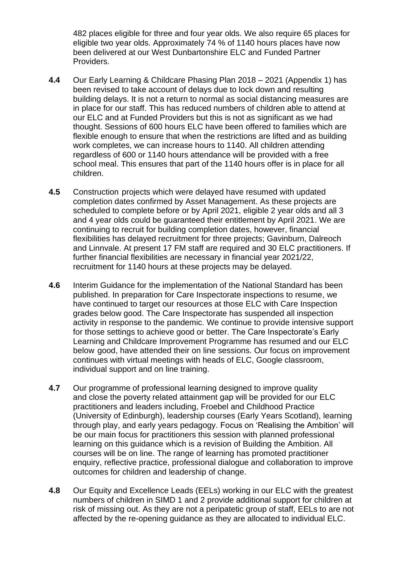482 places eligible for three and four year olds. We also require 65 places for eligible two year olds. Approximately 74 % of 1140 hours places have now been delivered at our West Dunbartonshire ELC and Funded Partner Providers.

- **4.4** Our Early Learning & Childcare Phasing Plan 2018 2021 (Appendix 1) has been revised to take account of delays due to lock down and resulting building delays. It is not a return to normal as social distancing measures are in place for our staff. This has reduced numbers of children able to attend at our ELC and at Funded Providers but this is not as significant as we had thought. Sessions of 600 hours ELC have been offered to families which are flexible enough to ensure that when the restrictions are lifted and as building work completes, we can increase hours to 1140. All children attending regardless of 600 or 1140 hours attendance will be provided with a free school meal. This ensures that part of the 1140 hours offer is in place for all children.
- **4.5** Construction projects which were delayed have resumed with updated completion dates confirmed by Asset Management. As these projects are scheduled to complete before or by April 2021, eligible 2 year olds and all 3 and 4 year olds could be guaranteed their entitlement by April 2021. We are continuing to recruit for building completion dates, however, financial flexibilities has delayed recruitment for three projects; Gavinburn, Dalreoch and Linnvale. At present 17 FM staff are required and 30 ELC practitioners. If further financial flexibilities are necessary in financial year 2021/22, recruitment for 1140 hours at these projects may be delayed.
- **4.6** Interim Guidance for the implementation of the National Standard has been published. In preparation for Care Inspectorate inspections to resume, we have continued to target our resources at those ELC with Care Inspection grades below good. The Care Inspectorate has suspended all inspection activity in response to the pandemic. We continue to provide intensive support for those settings to achieve good or better. The Care Inspectorate's Early Learning and Childcare Improvement Programme has resumed and our ELC below good, have attended their on line sessions. Our focus on improvement continues with virtual meetings with heads of ELC, Google classroom, individual support and on line training.
- **4.7** Our programme of professional learning designed to improve quality and close the poverty related attainment gap will be provided for our ELC practitioners and leaders including, Froebel and Childhood Practice (University of Edinburgh), leadership courses (Early Years Scotland), learning through play, and early years pedagogy. Focus on 'Realising the Ambition' will be our main focus for practitioners this session with planned professional learning on this guidance which is a revision of Building the Ambition. All courses will be on line. The range of learning has promoted practitioner enquiry, reflective practice, professional dialogue and collaboration to improve outcomes for children and leadership of change.
- **4.8** Our Equity and Excellence Leads (EELs) working in our ELC with the greatest numbers of children in SIMD 1 and 2 provide additional support for children at risk of missing out. As they are not a peripatetic group of staff, EELs to are not affected by the re-opening guidance as they are allocated to individual ELC.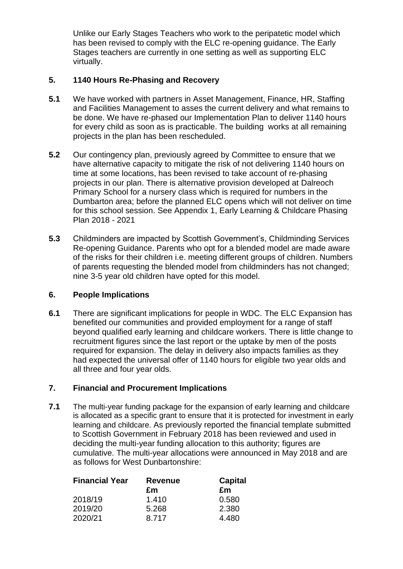Unlike our Early Stages Teachers who work to the peripatetic model which has been revised to comply with the ELC re-opening guidance. The Early Stages teachers are currently in one setting as well as supporting ELC virtually.

## **5. 1140 Hours Re-Phasing and Recovery**

- **5.1** We have worked with partners in Asset Management, Finance, HR, Staffing and Facilities Management to asses the current delivery and what remains to be done. We have re-phased our Implementation Plan to deliver 1140 hours for every child as soon as is practicable. The building works at all remaining projects in the plan has been rescheduled.
- **5.2** Our contingency plan, previously agreed by Committee to ensure that we have alternative capacity to mitigate the risk of not delivering 1140 hours on time at some locations, has been revised to take account of re-phasing projects in our plan. There is alternative provision developed at Dalreoch Primary School for a nursery class which is required for numbers in the Dumbarton area; before the planned ELC opens which will not deliver on time for this school session. See Appendix 1, Early Learning & Childcare Phasing Plan 2018 - 2021
- **5.3** Childminders are impacted by Scottish Government's, Childminding Services Re-opening Guidance. Parents who opt for a blended model are made aware of the risks for their children i.e. meeting different groups of children. Numbers of parents requesting the blended model from childminders has not changed; nine 3-5 year old children have opted for this model.

### **6. People Implications**

**6.1** There are significant implications for people in WDC. The ELC Expansion has benefited our communities and provided employment for a range of staff beyond qualified early learning and childcare workers. There is little change to recruitment figures since the last report or the uptake by men of the posts required for expansion. The delay in delivery also impacts families as they had expected the universal offer of 1140 hours for eligible two year olds and all three and four year olds.

### **7. Financial and Procurement Implications**

**7.1** The multi-year funding package for the expansion of early learning and childcare is allocated as a specific grant to ensure that it is protected for investment in early learning and childcare. As previously reported the financial template submitted to Scottish Government in February 2018 has been reviewed and used in deciding the multi-year funding allocation to this authority; figures are cumulative. The multi-year allocations were announced in May 2018 and are as follows for West Dunbartonshire:

| <b>Financial Year</b> | <b>Revenue</b> | <b>Capital</b> |
|-----------------------|----------------|----------------|
|                       | £m             | £m             |
| 2018/19               | 1.410          | 0.580          |
| 2019/20               | 5.268          | 2.380          |
| 2020/21               | 8.717          | 4.480          |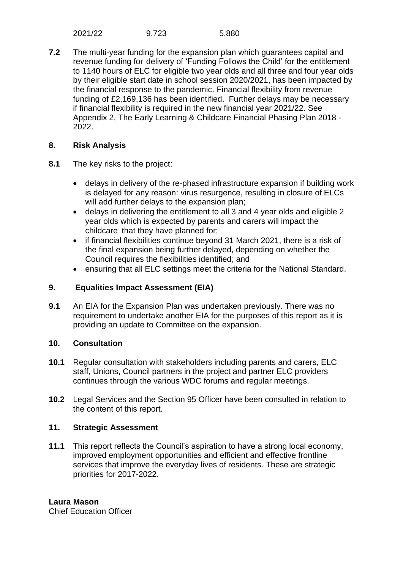**7.2** The multi-year funding for the expansion plan which guarantees capital and revenue funding for delivery of 'Funding Follows the Child' for the entitlement to 1140 hours of ELC for eligible two year olds and all three and four year olds by their eligible start date in school session 2020/2021, has been impacted by the financial response to the pandemic. Financial flexibility from revenue funding of £2,169,136 has been identified. Further delays may be necessary if financial flexibility is required in the new financial year 2021/22. See Appendix 2, The Early Learning & Childcare Financial Phasing Plan 2018 - 2022.

### **8. Risk Analysis**

- **8.1** The key risks to the project:
	- delays in delivery of the re-phased infrastructure expansion if building work is delayed for any reason: virus resurgence, resulting in closure of ELCs will add further delays to the expansion plan;
	- delays in delivering the entitlement to all 3 and 4 year olds and eligible 2 year olds which is expected by parents and carers will impact the childcare that they have planned for;
	- if financial flexibilities continue beyond 31 March 2021, there is a risk of the final expansion being further delayed, depending on whether the Council requires the flexibilities identified; and
	- ensuring that all ELC settings meet the criteria for the National Standard.

## **9. Equalities Impact Assessment (EIA)**

**9.1** An EIA for the Expansion Plan was undertaken previously. There was no requirement to undertake another EIA for the purposes of this report as it is providing an update to Committee on the expansion.

### **10. Consultation**

- **10.1** Regular consultation with stakeholders including parents and carers, ELC staff, Unions, Council partners in the project and partner ELC providers continues through the various WDC forums and regular meetings.
- **10.2** Legal Services and the Section 95 Officer have been consulted in relation to the content of this report.

### **11. Strategic Assessment**

**11.1** This report reflects the Council's aspiration to have a strong local economy, improved employment opportunities and efficient and effective frontline services that improve the everyday lives of residents. These are strategic priorities for 2017-2022.

Chief Education Officer